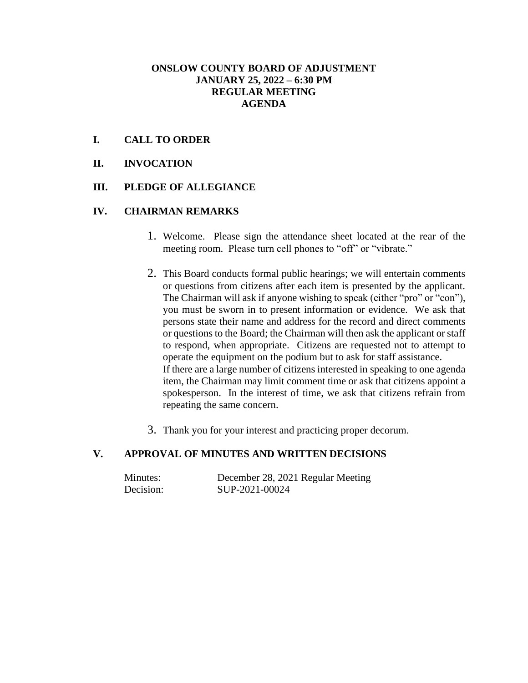#### **ONSLOW COUNTY BOARD OF ADJUSTMENT JANUARY 25, 2022 – 6:30 PM REGULAR MEETING AGENDA**

#### **I. CALL TO ORDER**

**II. INVOCATION**

#### **III. PLEDGE OF ALLEGIANCE**

#### **IV. CHAIRMAN REMARKS**

- 1. Welcome. Please sign the attendance sheet located at the rear of the meeting room. Please turn cell phones to "off" or "vibrate."
- 2. This Board conducts formal public hearings; we will entertain comments or questions from citizens after each item is presented by the applicant. The Chairman will ask if anyone wishing to speak (either "pro" or "con"), you must be sworn in to present information or evidence. We ask that persons state their name and address for the record and direct comments or questions to the Board; the Chairman will then ask the applicant or staff to respond, when appropriate. Citizens are requested not to attempt to operate the equipment on the podium but to ask for staff assistance. If there are a large number of citizens interested in speaking to one agenda item, the Chairman may limit comment time or ask that citizens appoint a spokesperson. In the interest of time, we ask that citizens refrain from repeating the same concern.
- 3. Thank you for your interest and practicing proper decorum.

## **V. APPROVAL OF MINUTES AND WRITTEN DECISIONS**

| Minutes:  | December 28, 2021 Regular Meeting |
|-----------|-----------------------------------|
| Decision: | SUP-2021-00024                    |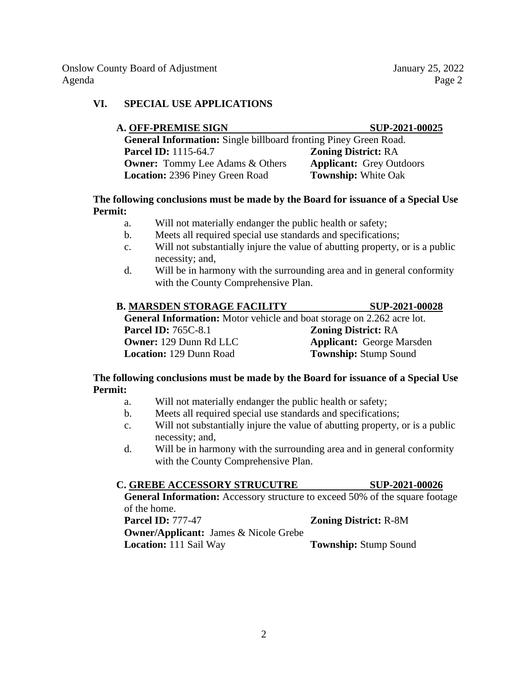Onslow County Board of Adjustment January 25, 2022 Agenda Page 2

## **VI. SPECIAL USE APPLICATIONS**

| <b>A. OFF-PREMISE SIGN</b>                                              | SUP-2021-00025                  |
|-------------------------------------------------------------------------|---------------------------------|
| <b>General Information:</b> Single billboard fronting Piney Green Road. |                                 |
| <b>Parcel ID:</b> 1115-64.7                                             | <b>Zoning District: RA</b>      |
| <b>Owner:</b> Tommy Lee Adams & Others                                  | <b>Applicant:</b> Grey Outdoors |
| Location: 2396 Piney Green Road                                         | <b>Township:</b> White Oak      |

#### **The following conclusions must be made by the Board for issuance of a Special Use Permit:**

- a. Will not materially endanger the public health or safety;
- b. Meets all required special use standards and specifications;
- c. Will not substantially injure the value of abutting property, or is a public necessity; and,
- d. Will be in harmony with the surrounding area and in general conformity with the County Comprehensive Plan.

| B. MARSDEN STORAGE FACILITY                                                   | SUP-2021-00028             |
|-------------------------------------------------------------------------------|----------------------------|
| <b>General Information:</b> Motor vehicle and boat storage on 2.262 acre lot. |                            |
| <b>Parcel ID:</b> 765C-8.1                                                    | <b>Zoning District: RA</b> |

**Parcel ID:**  $765C-8.1$  **Zoning District:** RA **Owner:** 129 Dunn Rd LLC **Applicant:** George Marsden **Location:** 129 Dunn Road **Township:** Stump Sound

## **The following conclusions must be made by the Board for issuance of a Special Use Permit:**

- a. Will not materially endanger the public health or safety;
- b. Meets all required special use standards and specifications;
- c. Will not substantially injure the value of abutting property, or is a public necessity; and,
- d. Will be in harmony with the surrounding area and in general conformity with the County Comprehensive Plan.

## **C. GREBE ACCESSORY STRUCUTRE SUP-2021-00026**

**General Information:** Accessory structure to exceed 50% of the square footage of the home.

| <b>Parcel ID: 777-47</b>                     | <b>Zoning District: R-8M</b> |
|----------------------------------------------|------------------------------|
| <b>Owner/Applicant:</b> James & Nicole Grebe |                              |
| <b>Location:</b> 111 Sail Way                | <b>Township:</b> Stump Sound |